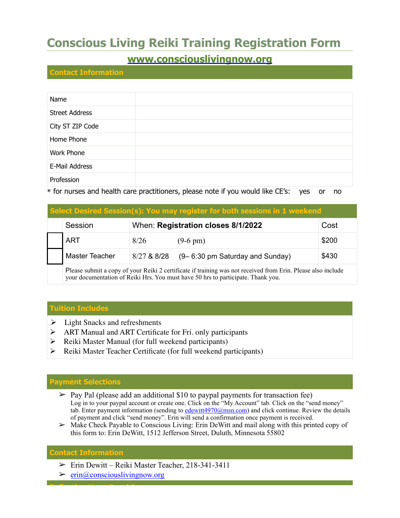## **Conscious Living Reiki Training Registration Form**

### **[www.consciouslivingnow.org](http://www.consciouslivingnow.org)**

#### **Contact Information**

| Name                  |
|-----------------------|
| <b>Street Address</b> |
| City ST ZIP Code      |
| Home Phone            |
| Work Phone            |
| E-Mail Address        |
| Profession            |

\* for nurses and health care practitioners, please note if you would like CE's: yes or no

| Select Desired Session(s): You may register for both sessions in 1 weekend |                                                                                                                                                                                                  |                                    |                                 |       |  |
|----------------------------------------------------------------------------|--------------------------------------------------------------------------------------------------------------------------------------------------------------------------------------------------|------------------------------------|---------------------------------|-------|--|
|                                                                            | Session                                                                                                                                                                                          | When: Registration closes 8/1/2022 | Cost                            |       |  |
|                                                                            | <b>ART</b>                                                                                                                                                                                       | 8/26                               | $(9-6 \text{ pm})$              | \$200 |  |
|                                                                            | Master Teacher                                                                                                                                                                                   | 8/27 & 8/28                        | (9–6:30 pm Saturday and Sunday) | \$430 |  |
|                                                                            | Please submit a copy of your Reiki 2 certificate if training was not received from Erin. Please also include<br>your documentation of Reiki Hrs. You must have 50 hrs to participate. Thank you. |                                    |                                 |       |  |

# **Tuition Includes**

- $\triangleright$  Light Snacks and refreshments
- ! ART Manual and ART Certificate for Fri. only participants
- $\triangleright$  Reiki Master Manual (for full weekend participants)
- $\triangleright$  Reiki Master Teacher Certificate (for full weekend participants)

### **Payment Selections**

- $\triangleright$  Pay Pal (please add an additional \$10 to paypal payments for transaction fee) Log in to your paypal account or create one. Click on the "My Account" tab. Click on the "send money" tab. Enter payment information (sending to [edewitt4970@msn.com](mailto:edewitt4970@msn.com)) and click continue. Review the details of payment and click "send money". Erin will send a confirmation once payment is received.
- ➢ Make Check Payable to Conscious Living: Erin DeWitt and mail along with this printed copy of this form to: Erin DeWitt, 1512 Jefferson Street, Duluth, Minnesota 55802

### **Contact Information**

**Reflection Upon Inquiries**

- $\triangleright$  Erin Dewitt Reiki Master Teacher, 218-341-3411
- $\triangleright$  [erin@consciouslivingnow.org](mailto:info@deepeaceduluth.com)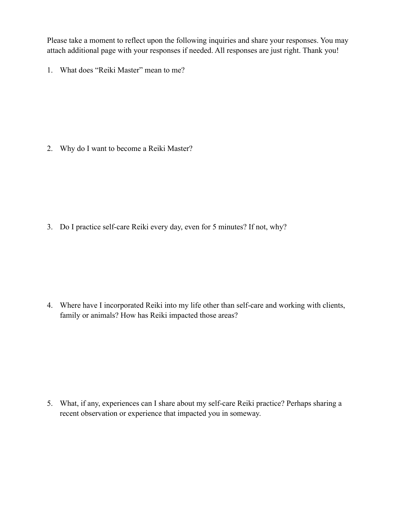Please take a moment to reflect upon the following inquiries and share your responses. You may attach additional page with your responses if needed. All responses are just right. Thank you!

1. What does "Reiki Master" mean to me?

2. Why do I want to become a Reiki Master?

3. Do I practice self-care Reiki every day, even for 5 minutes? If not, why?

4. Where have I incorporated Reiki into my life other than self-care and working with clients, family or animals? How has Reiki impacted those areas?

5. What, if any, experiences can I share about my self-care Reiki practice? Perhaps sharing a recent observation or experience that impacted you in someway.